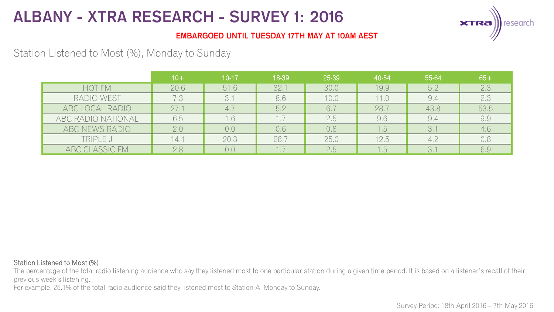

### **EMBARGOED UNTIL TUESDAY 17TH MAY AT 10AM AEST**

## Station Listened to Most (%), Monday to Sunday

|                       | $10+$ | $10 - 17$ | 18-39 | 25-39 | 40-54            | 55-64 | $65+$ |
|-----------------------|-------|-----------|-------|-------|------------------|-------|-------|
| HOT FM                | 20.6  | 51.6      | 32.1  | 30.0  | 19.9             | 5.2   | 2.3   |
| RADIO WEST            |       |           | 8.6   | 10.0  | 11.0             | 9.4   | 2.3   |
| ABC LOCAL RADIO       | 27.1  | 4.1       | 5.2   | 6.7   | 28.7             | 43.8  | 53.5  |
| ABC RADIO NATIONAL    | 6,5   | .6        |       | 2.5   | 9.6              | 9.4   | 9.9   |
| ABC NEWS RADIO        | 2.0   | 0.0       | 0.6   | 0.8   | 1.5 <sub>1</sub> | 3.1   | 4.6   |
| TRIPLE J              | 14.1  | 20.3      | 28.7  | 25.0  | 12.5             | 4.2   | 0.8   |
| <b>ABC CLASSIC FM</b> | 2.8   | 0.0       |       | 2.5   | 1.5              | 3.1   | 6.9   |

#### Station Listened to Most (%)

The percentage of the total radio listening audience who say they listened most to one particular station during a given time period. It is based on a listener's recall of their previous week's listening.

For example, 25.1% of the total radio audience said they listened most to Station A, Monday to Sunday.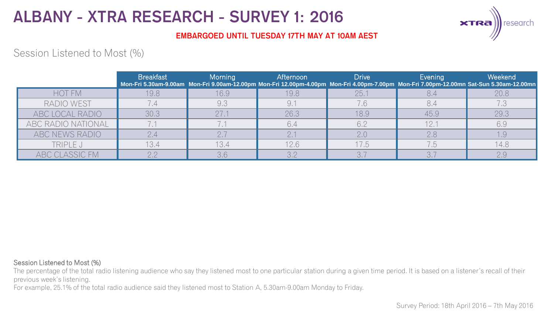

### **EMBARGOED UNTIL TUESDAY 17TH MAY AT 10AM AEST**

## Session Listened to Most (%)

|                    | <b>Breakfast</b> | Morning | Afternoon | <b>Drive</b> | Evening | Weekend<br>Mon-Fri 5.30am-9.00am Mon-Fri 9.00am-12.00pm Mon-Fri 12.00pm-4.00pm Mon-Fri 4.00pm-7.00pm Mon-Fri 7.00pm-12.00mn Sat-Sun 5.30am-12.00mn |
|--------------------|------------------|---------|-----------|--------------|---------|----------------------------------------------------------------------------------------------------------------------------------------------------|
| <b>HOT FM</b>      | 19.8             | 16.9    | 19.8      | 25.1         |         | 20.8                                                                                                                                               |
| RADIO WEST         |                  | 9.3     |           |              |         |                                                                                                                                                    |
| ABC LOCAL RADIO    | 30.3             |         | 26.3      | 18.9         | 45.9    | 29.3                                                                                                                                               |
| ABC RADIO NATIONAL |                  |         | 6.4       | 6.2          | 12.     | 6.9                                                                                                                                                |
| ABC NEWS RADIO     |                  |         |           | 2.0          | 2.8     | 1.9                                                                                                                                                |
| TRIPLE J           | 13.4             | 13.4    | 12.6      | 17.5         | 7.5     | 14.8                                                                                                                                               |
| ABC CLASSIC FM     | $\cap$ $\cap$    |         |           |              |         | 2.9                                                                                                                                                |

#### Session Listened to Most (%)

The percentage of the total radio listening audience who say they listened most to one particular station during a given time period. It is based on a listener's recall of their previous week's listening.

For example, 25.1% of the total radio audience said they listened most to Station A, 5.30am-9.00am Monday to Friday.

Survey Period: 18th April 2016 – 7th May 2016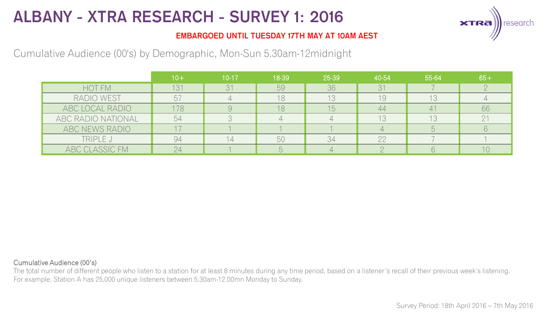

### **EMBARGOED UNTIL TUESDAY 17TH MAY AT 10AM AEST**

## Cumulative Audience (00's) by Demographic, Mon-Sun 5.30am-12midnight

|                    | $10+$ | $10 - 17$ | 18-39 | 25-39 | 40-54 | 55-64 | $65+$ |
|--------------------|-------|-----------|-------|-------|-------|-------|-------|
| <b>HOT FM</b>      | 131   | 31        | 59    | 36    | 31    |       |       |
| RADIO WEST         |       |           | 18    | 13    | 19    | 13    |       |
| ABC LOCAL RADIO    | 178   |           | 8     | 15    | 44    | 41    | 66    |
| ABC RADIO NATIONAL | 54    |           |       |       | 13    | 13    |       |
| ABC NEWS RADIO     |       |           |       |       |       |       |       |
| TRIPLE J           | 94    |           | 50    | 34    | 22    |       |       |
| ABC CLASSIC FM     |       |           |       |       |       |       |       |

#### Cumulative Audience (00's)

The total number of different people who listen to a station for at least 8 minutes during any time period, based on a listener's recall of their previous week's listening. For example, Station A has 25,000 unique listeners between 5.30am-12.00mn Monday to Sunday.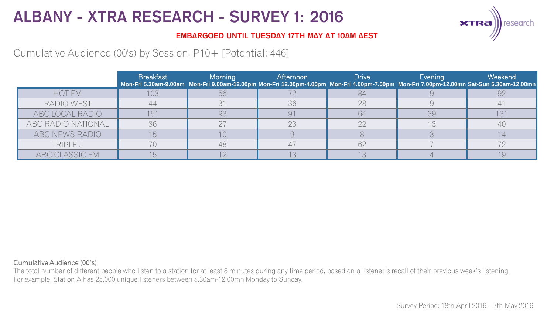

### **EMBARGOED UNTIL TUESDAY 17TH MAY AT 10AM AEST**

Cumulative Audience (00's) by Session, P10+ [Potential: 446]

|                    | <b>Breakfast</b> | Morning | Afternoon | <b>Drive</b> | Evening | Weekend<br>Mon-Fri 5.30am-9.00am Mon-Fri 9.00am-12.00pm Mon-Fri 12.00pm-4.00pm Mon-Fri 4.00pm-7.00pm Mon-Fri 7.00pm-12.00mn Sat-Sun 5.30am-12.00mn |
|--------------------|------------------|---------|-----------|--------------|---------|----------------------------------------------------------------------------------------------------------------------------------------------------|
| <b>HOT FM</b>      |                  |         |           |              |         |                                                                                                                                                    |
| RADIO WEST         |                  |         | 36        | 28           |         |                                                                                                                                                    |
| ABC LOCAL RADIO    |                  | 93      |           | 64           | 39      |                                                                                                                                                    |
| ABC RADIO NATIONAL | 36               |         |           |              |         |                                                                                                                                                    |
| ABC NEWS RADIO     |                  |         |           |              |         |                                                                                                                                                    |
| TRIPLE J           |                  |         |           |              |         |                                                                                                                                                    |
| ABC CLASSIC FM     |                  |         |           |              |         |                                                                                                                                                    |

#### Cumulative Audience (00's)

The total number of different people who listen to a station for at least 8 minutes during any time period, based on a listener's recall of their previous week's listening. For example, Station A has 25,000 unique listeners between 5.30am-12.00mn Monday to Sunday.